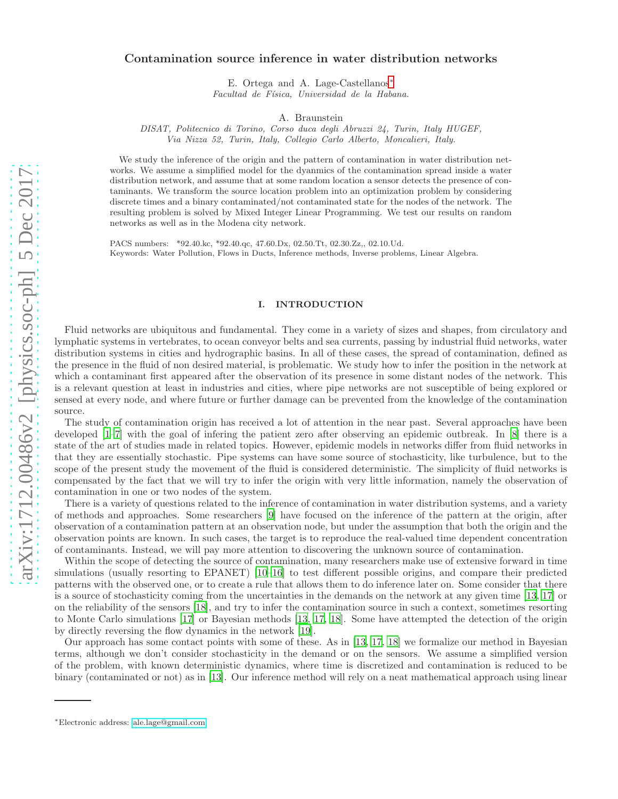# Contamination source inference in water distribution networks

E. Ortega and A. Lage-Castellanos[∗](#page-0-0) *Facultad de F´ısica, Universidad de la Habana.*

A. Braunstein

*DISAT, Politecnico di Torino, Corso duca degli Abruzzi 24, Turin, Italy HUGEF, Via Nizza 52, Turin, Italy, Collegio Carlo Alberto, Moncalieri, Italy.*

We study the inference of the origin and the pattern of contamination in water distribution networks. We assume a simplified model for the dyanmics of the contamination spread inside a water distribution network, and assume that at some random location a sensor detects the presence of contaminants. We transform the source location problem into an optimization problem by considering discrete times and a binary contaminated/not contaminated state for the nodes of the network. The resulting problem is solved by Mixed Integer Linear Programming. We test our results on random networks as well as in the Modena city network.

PACS numbers: \*92.40.kc, \*92.40.qc, 47.60.Dx, 02.50.Tt, 02.30.Zz,, 02.10.Ud. Keywords: Water Pollution, Flows in Ducts, Inference methods, Inverse problems, Linear Algebra.

# I. INTRODUCTION

Fluid networks are ubiquitous and fundamental. They come in a variety of sizes and shapes, from circulatory and lymphatic systems in vertebrates, to ocean conveyor belts and sea currents, passing by industrial fluid networks, water distribution systems in cities and hydrographic basins. In all of these cases, the spread of contamination, defined as the presence in the fluid of non desired material, is problematic. We study how to infer the position in the network at which a contaminant first appeared after the observation of its presence in some distant nodes of the network. This is a relevant question at least in industries and cities, where pipe networks are not susceptible of being explored or sensed at every node, and where future or further damage can be prevented from the knowledge of the contamination source.

The study of contamination origin has received a lot of attention in the near past. Several approaches have been developed [\[1](#page-10-0)[–7\]](#page-10-1) with the goal of infering the patient zero after observing an epidemic outbreak. In [\[8\]](#page-10-2) there is a state of the art of studies made in related topics. However, epidemic models in networks differ from fluid networks in that they are essentially stochastic. Pipe systems can have some source of stochasticity, like turbulence, but to the scope of the present study the movement of the fluid is considered deterministic. The simplicity of fluid networks is compensated by the fact that we will try to infer the origin with very little information, namely the observation of contamination in one or two nodes of the system.

There is a variety of questions related to the inference of contamination in water distribution systems, and a variety of methods and approaches. Some researchers [\[9](#page-10-3)] have focused on the inference of the pattern at the origin, after observation of a contamination pattern at an observation node, but under the assumption that both the origin and the observation points are known. In such cases, the target is to reproduce the real-valued time dependent concentration of contaminants. Instead, we will pay more attention to discovering the unknown source of contamination.

Within the scope of detecting the source of contamination, many researchers make use of extensive forward in time simulations (usually resorting to EPANET) [\[10](#page-10-4)[–16\]](#page-10-5) to test different possible origins, and compare their predicted patterns with the observed one, or to create a rule that allows them to do inference later on. Some consider that there is a source of stochasticity coming from the uncertainties in the demands on the network at any given time [\[13,](#page-10-6) [17\]](#page-10-7) or on the reliability of the sensors [\[18\]](#page-10-8), and try to infer the contamination source in such a context, sometimes resorting to Monte Carlo simulations [\[17\]](#page-10-7) or Bayesian methods [\[13,](#page-10-6) [17](#page-10-7), [18\]](#page-10-8). Some have attempted the detection of the origin by directly reversing the flow dynamics in the network [\[19\]](#page-10-9).

Our approach has some contact points with some of these. As in [\[13,](#page-10-6) [17,](#page-10-7) [18\]](#page-10-8) we formalize our method in Bayesian terms, although we don't consider stochasticity in the demand or on the sensors. We assume a simplified version of the problem, with known deterministic dynamics, where time is discretized and contamination is reduced to be binary (contaminated or not) as in [\[13](#page-10-6)]. Our inference method will rely on a neat mathematical approach using linear

<span id="page-0-0"></span><sup>∗</sup>Electronic address: [ale.lage@gmail.com](mailto:ale.lage@gmail.com)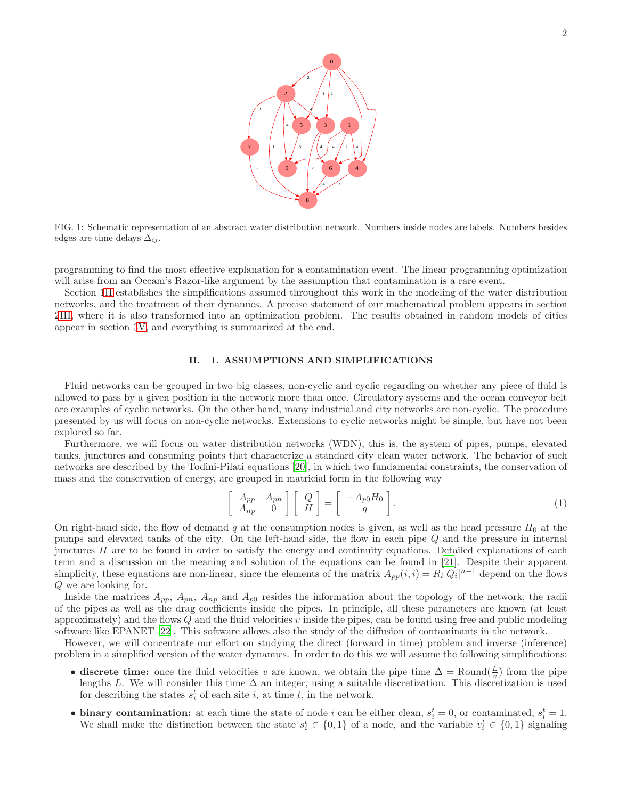

<span id="page-1-1"></span>FIG. 1: Schematic representation of an abstract water distribution network. Numbers inside nodes are labels. Numbers besides edges are time delays  $\Delta_{ij}$ .

programming to find the most effective explanation for a contamination event. The linear programming optimization will arise from an Occam's Razor-like argument by the assumption that contamination is a rare event.

Section [1II](#page-1-0) establishes the simplifications assumed throughout this work in the modeling of the water distribution networks, and the treatment of their dynamics. A precise statement of our mathematical problem appears in section [2III,](#page-2-0) where it is also transformed into an optimization problem. The results obtained in random models of cities appear in section [3V,](#page-6-0) and everything is summarized at the end.

# <span id="page-1-0"></span>II. 1. ASSUMPTIONS AND SIMPLIFICATIONS

Fluid networks can be grouped in two big classes, non-cyclic and cyclic regarding on whether any piece of fluid is allowed to pass by a given position in the network more than once. Circulatory systems and the ocean conveyor belt are examples of cyclic networks. On the other hand, many industrial and city networks are non-cyclic. The procedure presented by us will focus on non-cyclic networks. Extensions to cyclic networks might be simple, but have not been explored so far.

Furthermore, we will focus on water distribution networks (WDN), this is, the system of pipes, pumps, elevated tanks, junctures and consuming points that characterize a standard city clean water network. The behavior of such networks are described by the Todini-Pilati equations [\[20](#page-10-10)], in which two fundamental constraints, the conservation of mass and the conservation of energy, are grouped in matricial form in the following way

$$
\begin{bmatrix}\nA_{pp} & A_{pn} \\
A_{np} & 0\n\end{bmatrix}\n\begin{bmatrix}\nQ \\
H\n\end{bmatrix} =\n\begin{bmatrix}\n-A_{p0}H_0 \\
q\n\end{bmatrix}.
$$
\n(1)

On right-hand side, the flow of demand q at the consumption nodes is given, as well as the head pressure  $H_0$  at the pumps and elevated tanks of the city. On the left-hand side, the flow in each pipe Q and the pressure in internal junctures H are to be found in order to satisfy the energy and continuity equations. Detailed explanations of each term and a discussion on the meaning and solution of the equations can be found in [\[21](#page-10-11)]. Despite their apparent simplicity, these equations are non-linear, since the elements of the matrix  $A_{pp}(i,i) = R_i |Q_i|^{n-1}$  depend on the flows Q we are looking for.

Inside the matrices  $A_{pp}$ ,  $A_{pp}$ ,  $A_{np}$  and  $A_{p0}$  resides the information about the topology of the network, the radii of the pipes as well as the drag coefficients inside the pipes. In principle, all these parameters are known (at least approximately) and the flows  $Q$  and the fluid velocities  $v$  inside the pipes, can be found using free and public modeling software like EPANET [\[22](#page-10-12)]. This software allows also the study of the diffusion of contaminants in the network.

However, we will concentrate our effort on studying the direct (forward in time) problem and inverse (inference) problem in a simplified version of the water dynamics. In order to do this we will assume the following simplifications:

- discrete time: once the fluid velocities v are known, we obtain the pipe time  $\Delta = \text{Round}(\frac{L}{v})$  from the pipe lengths L. We will consider this time  $\Delta$  an integer, using a suitable discretization. This discretization is used for describing the states  $s_i^t$  of each site i, at time t, in the network.
- binary contamination: at each time the state of node i can be either clean,  $s_i^t = 0$ , or contaminated,  $s_i^t = 1$ . We shall make the distinction between the state  $s_i^t \in \{0,1\}$  of a node, and the variable  $v_i^t \in \{0,1\}$  signaling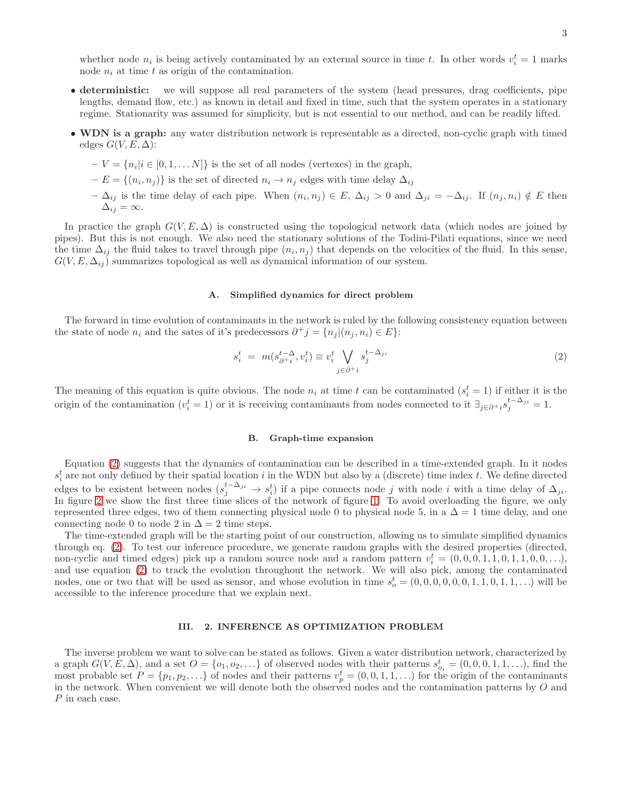whether node  $n_i$  is being actively contaminated by an external source in time t. In other words  $v_i^t = 1$  marks node  $n_i$  at time t as origin of the contamination.

- deterministic: we will suppose all real parameters of the system (head pressures, drag coefficients, pipe lengths, demand flow, etc.) as known in detail and fixed in time, such that the system operates in a stationary regime. Stationarity was assumed for simplicity, but is not essential to our method, and can be readily lifted.
- WDN is a graph: any water distribution network is representable as a directed, non-cyclic graph with timed edges  $G(V, E, \Delta)$ :
	- $-V = \{n_i | i \in [0, 1, \dots N]\}$  is the set of all nodes (vertexes) in the graph,
	- $-E = \{(n_i, n_j)\}\$ is the set of directed  $n_i \to n_j$  edges with time delay  $\Delta_{ij}$
	- $-\Delta_{ij}$  is the time delay of each pipe. When  $(n_i, n_j) \in E$ ,  $\Delta_{ij} > 0$  and  $\Delta_{ji} = -\Delta_{ij}$ . If  $(n_j, n_i) \notin E$  then  $\Delta_{ij} = \infty$ .

In practice the graph  $G(V, E, \Delta)$  is constructed using the topological network data (which nodes are joined by pipes). But this is not enough. We also need the stationary solutions of the Todini-Pilati equations, since we need the time  $\Delta_{ij}$  the fluid takes to travel through pipe  $(n_i, n_j)$  that depends on the velocities of the fluid. In this sense,  $G(V, E, \Delta_{ij})$  summarizes topological as well as dynamical information of our system.

### A. Simplified dynamics for direct problem

The forward in time evolution of contaminants in the network is ruled by the following consistency equation between the state of node  $n_i$  and the sates of it's predecessors  $\partial^+ j = \{n_j | (n_j, n_i) \in E\}$ :

<span id="page-2-1"></span>
$$
s_i^t = m(s_{\partial^{+i}}^{t-\Delta}, v_i^t) \equiv v_i^t \bigvee_{j \in \partial^{+i}} s_j^{t-\Delta_{ji}} \tag{2}
$$

The meaning of this equation is quite obvious. The node  $n_i$  at time t can be contaminated  $(s_i^t = 1)$  if either it is the origin of the contamination  $(v_i^t = 1)$  or it is receiving contaminants from nodes connected to it  $\exists_{j \in \partial^+ i} s_j^{t-\Delta_{ji}} = 1$ .

#### B. Graph-time expansion

Equation [\(2\)](#page-2-1) suggests that the dynamics of contamination can be described in a time-extended graph. In it nodes  $s_i^t$  are not only defined by their spatial location i in the WDN but also by a (discrete) time index t. We define directed i edges to be existent between nodes  $(s_j^{t-\Delta_{ji}} \to s_i^t)$  if a pipe connects node j with node i with a time delay of  $\Delta_{ji}$ . In figure [2](#page-3-0) we show the first three time slices of the network of figure [1.](#page-1-1) To avoid overloading the figure, we only represented three edges, two of them connecting physical node 0 to physical node 5, in a  $\Delta = 1$  time delay, and one connecting node 0 to node 2 in  $\Delta = 2$  time steps.

The time-extended graph will be the starting point of our construction, allowing us to simulate simplified dynamics through eq. [\(2\)](#page-2-1). To test our inference procedure, we generate random graphs with the desired properties (directed, non-cyclic and timed edges) pick up a random source node and a random pattern  $v_i^t = (0, 0, 0, 1, 1, 0, 1, 1, 0, 0, \ldots),$ and use equation [\(2\)](#page-2-1) to track the evolution throughout the network. We will also pick, among the contaminated nodes, one or two that will be used as sensor, and whose evolution in time  $s_o^t = (0, 0, 0, 0, 0, 0, 1, 1, 0, 1, 1, ...)$  will be accessible to the inference procedure that we explain next.

## <span id="page-2-0"></span>III. 2. INFERENCE AS OPTIMIZATION PROBLEM

The inverse problem we want to solve can be stated as follows. Given a water distribution network, characterized by a graph  $G(V, E, \Delta)$ , and a set  $O = \{o_1, o_2, \ldots\}$  of observed nodes with their patterns  $s_{o_i}^t = (0, 0, 0, 1, 1, \ldots)$ , find the most probable set  $P = \{p_1, p_2, ...\}$  of nodes and their patterns  $v_p^t = (0, 0, 1, 1, ...)$  for the origin of the contaminants in the network. When convenient we will denote both the observed nodes and the contamination patterns by  $O$  and P in each case.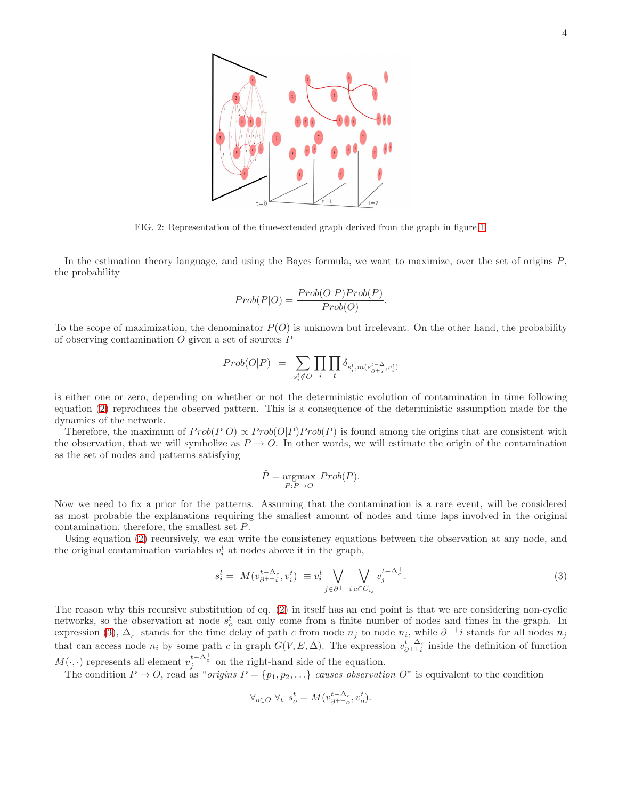

<span id="page-3-0"></span>FIG. 2: Representation of the time-extended graph derived from the graph in figure [1.](#page-1-1)

In the estimation theory language, and using the Bayes formula, we want to maximize, over the set of origins P, the probability

$$
Prob(P|O) = \frac{Prob(O|P)Prob(P)}{Prob(O)}.
$$

To the scope of maximization, the denominator  $P(O)$  is unknown but irrelevant. On the other hand, the probability of observing contamination  $O$  given a set of sources  $P$ 

$$
Prob(O|P) = \sum_{s_i^t \notin O} \prod_i \prod_t \delta_{s_i^t, m(s_{\partial^{+i}}^{t-\Delta}, v_i^t)}
$$

is either one or zero, depending on whether or not the deterministic evolution of contamination in time following equation [\(2\)](#page-2-1) reproduces the observed pattern. This is a consequence of the deterministic assumption made for the dynamics of the network.

Therefore, the maximum of  $Prob(P|O) \propto Prob(O|P) Prob(P)$  is found among the origins that are consistent with the observation, that we will symbolize as  $P \to O$ . In other words, we will estimate the origin of the contamination as the set of nodes and patterns satisfying

$$
\hat{P} = \underset{P: P \to O}{\text{argmax}} \; Prob(P).
$$

Now we need to fix a prior for the patterns. Assuming that the contamination is a rare event, will be considered as most probable the explanations requiring the smallest amount of nodes and time laps involved in the original contamination, therefore, the smallest set P.

Using equation [\(2\)](#page-2-1) recursively, we can write the consistency equations between the observation at any node, and the original contamination variables  $v_i^t$  at nodes above it in the graph,

<span id="page-3-1"></span>
$$
s_i^t = M(v_{\partial^{++}i}^{t-\Delta_c}, v_i^t) \equiv v_i^t \bigvee_{j \in \partial^{++}i} \bigvee_{c \in C_{ij}} v_j^{t-\Delta_c^+}.
$$
\n(3)

The reason why this recursive substitution of eq. [\(2\)](#page-2-1) in itself has an end point is that we are considering non-cyclic networks, so the observation at node  $s_o^t$  can only come from a finite number of nodes and times in the graph. In expression [\(3\)](#page-3-1),  $\Delta_c^+$  stands for the time delay of path c from node  $n_j$  to node  $n_i$ , while  $\partial^{++}i$  stands for all nodes  $n_j$ that can access node  $n_i$  by some path c in graph  $G(V, E, \Delta)$ . The expression  $v_{\partial^{++}i}^{t-\Delta_c}$  inside the definition of function  $M(\cdot, \cdot)$  represents all element  $v_j^{t-\Delta_c^+}$  on the right-hand side of the equation.

The condition  $P \to O$ , read as "*origins*  $P = \{p_1, p_2, \ldots\}$  causes observation O" is equivalent to the condition

$$
\forall_{o\in O}\ \forall_t\ s_o^t=M(v_{\partial^{++}o}^{t-\Delta_c},v_o^t).
$$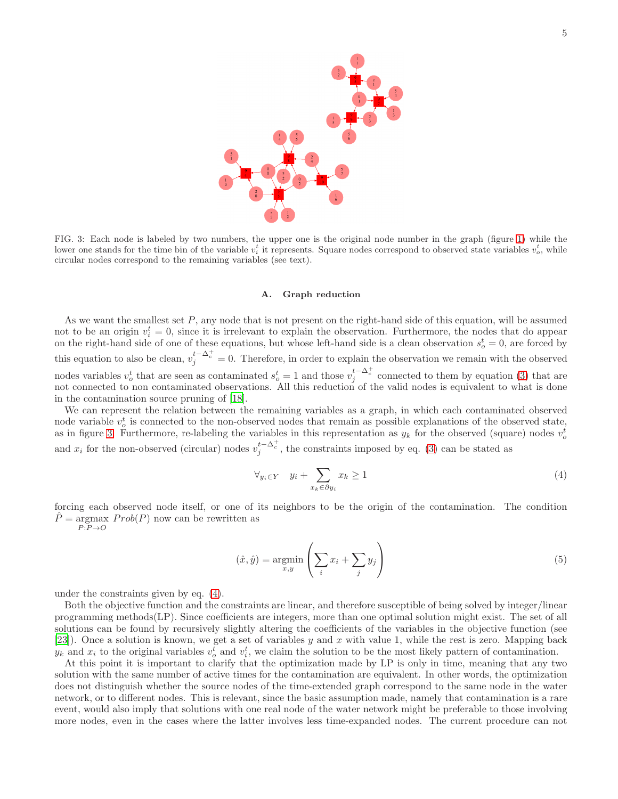

<span id="page-4-0"></span>FIG. 3: Each node is labeled by two numbers, the upper one is the original node number in the graph (figure [1\)](#page-1-1) while the lower one stands for the time bin of the variable  $v_i^t$  it represents. Square nodes correspond to observed state variables  $v_o^t$ , while circular nodes correspond to the remaining variables (see text).

#### A. Graph reduction

As we want the smallest set  $P$ , any node that is not present on the right-hand side of this equation, will be assumed not to be an origin  $v_i^t = 0$ , since it is irrelevant to explain the observation. Furthermore, the nodes that do appear on the right-hand side of one of these equations, but whose left-hand side is a clean observation  $s_o^t = 0$ , are forced by this equation to also be clean,  $v_j^{t-\Delta_c^+} = 0$ . Therefore, in order to explain the observation we remain with the observed nodes variables  $v_o^t$  that are seen as contaminated  $s_o^t = 1$  and those  $v_j^{t-\Delta_c^+}$  connected to them by equation [\(3\)](#page-3-1) that are not connected to non contaminated observations. All this reduction of the valid nodes is equivalent to what is done in the contamination source pruning of [\[18](#page-10-8)].

We can represent the relation between the remaining variables as a graph, in which each contaminated observed node variable  $v_o^t$  is connected to the non-observed nodes that remain as possible explanations of the observed state, as in figure [3.](#page-4-0) Furthermore, re-labeling the variables in this representation as  $y_k$  for the observed (square) nodes  $v_o^t$ and  $x_i$  for the non-observed (circular) nodes  $v_j^{t-\Delta_c^+}$ , the constraints imposed by eq. [\(3\)](#page-3-1) can be stated as

<span id="page-4-1"></span>
$$
\forall_{y_i \in Y} \quad y_i + \sum_{x_k \in \partial y_i} x_k \ge 1 \tag{4}
$$

forcing each observed node itself, or one of its neighbors to be the origin of the contamination. The condition  $\hat{P} = \arg\max \, Prob(P)$  now can be rewritten as  $P \colon P \to O$ 

<span id="page-4-2"></span>
$$
(\hat{x}, \hat{y}) = \underset{x, y}{\text{argmin}} \left( \sum_{i} x_i + \sum_{j} y_j \right) \tag{5}
$$

under the constraints given by eq. [\(4\)](#page-4-1).

Both the objective function and the constraints are linear, and therefore susceptible of being solved by integer/linear programming methods(LP). Since coefficients are integers, more than one optimal solution might exist. The set of all solutions can be found by recursively slightly altering the coefficients of the variables in the objective function (see [\[23\]](#page-10-13)). Once a solution is known, we get a set of variables y and x with value 1, while the rest is zero. Mapping back  $y_k$  and  $x_i$  to the original variables  $v_o^t$  and  $v_i^t$ , we claim the solution to be the most likely pattern of contamination.

At this point it is important to clarify that the optimization made by LP is only in time, meaning that any two solution with the same number of active times for the contamination are equivalent. In other words, the optimization does not distinguish whether the source nodes of the time-extended graph correspond to the same node in the water network, or to different nodes. This is relevant, since the basic assumption made, namely that contamination is a rare event, would also imply that solutions with one real node of the water network might be preferable to those involving more nodes, even in the cases where the latter involves less time-expanded nodes. The current procedure can not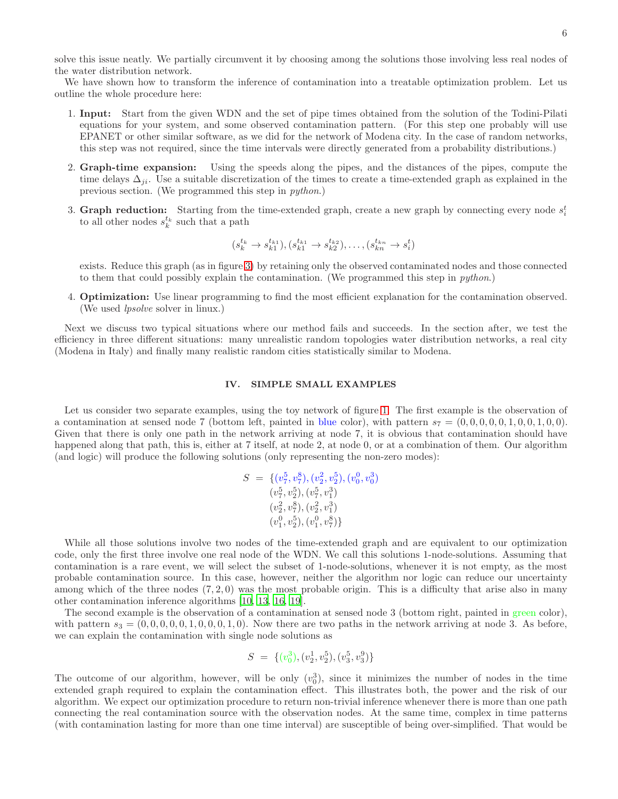solve this issue neatly. We partially circumvent it by choosing among the solutions those involving less real nodes of the water distribution network.

We have shown how to transform the inference of contamination into a treatable optimization problem. Let us outline the whole procedure here:

- 1. Input: Start from the given WDN and the set of pipe times obtained from the solution of the Todini-Pilati equations for your system, and some observed contamination pattern. (For this step one probably will use EPANET or other similar software, as we did for the network of Modena city. In the case of random networks, this step was not required, since the time intervals were directly generated from a probability distributions.)
- 2. Graph-time expansion: Using the speeds along the pipes, and the distances of the pipes, compute the time delays  $\Delta_{ii}$ . Use a suitable discretization of the times to create a time-extended graph as explained in the previous section. (We programmed this step in python.)
- 3. Graph reduction: Starting from the time-extended graph, create a new graph by connecting every node  $s_i^t$ to all other nodes  $s_k^{t_k}$  such that a path

$$
(s_k^{t_k} \to s_{k1}^{t_{k1}}), (s_{k1}^{t_{k1}} \to s_{k2}^{t_{k2}}), \dots, (s_{kn}^{t_{kn}} \to s_i^t)
$$

exists. Reduce this graph (as in figure [3\)](#page-4-0) by retaining only the observed contaminated nodes and those connected to them that could possibly explain the contamination. (We programmed this step in python.)

4. Optimization: Use linear programming to find the most efficient explanation for the contamination observed. (We used lpsolve solver in linux.)

Next we discuss two typical situations where our method fails and succeeds. In the section after, we test the efficiency in three different situations: many unrealistic random topologies water distribution networks, a real city (Modena in Italy) and finally many realistic random cities statistically similar to Modena.

## IV. SIMPLE SMALL EXAMPLES

Let us consider two separate examples, using the toy network of figure [1.](#page-1-1) The first example is the observation of a contamination at sensed node 7 (bottom left, painted in blue color), with pattern  $s_7 = (0,0,0,0,0,1,0,0,1,0,0)$ . Given that there is only one path in the network arriving at node 7, it is obvious that contamination should have happened along that path, this is, either at 7 itself, at node 2, at node 0, or at a combination of them. Our algorithm (and logic) will produce the following solutions (only representing the non-zero modes):

$$
S = \{ (v_7^5, v_7^8), (v_2^2, v_2^5), (v_0^0, v_0^3) (v_7^5, v_2^5), (v_7^5, v_1^3) (v_2^2, v_7^8), (v_2^2, v_1^3) (v_1^0, v_2^5), (v_1^0, v_7^8) \}
$$

While all those solutions involve two nodes of the time-extended graph and are equivalent to our optimization code, only the first three involve one real node of the WDN. We call this solutions 1-node-solutions. Assuming that contamination is a rare event, we will select the subset of 1-node-solutions, whenever it is not empty, as the most probable contamination source. In this case, however, neither the algorithm nor logic can reduce our uncertainty among which of the three nodes  $(7, 2, 0)$  was the most probable origin. This is a difficulty that arise also in many other contamination inference algorithms [\[10,](#page-10-4) [13,](#page-10-6) [16,](#page-10-5) [19\]](#page-10-9).

The second example is the observation of a contamination at sensed node 3 (bottom right, painted in green color), with pattern  $s_3 = (0, 0, 0, 0, 0, 1, 0, 0, 0, 1, 0)$ . Now there are two paths in the network arriving at node 3. As before, we can explain the contamination with single node solutions as

$$
S = \{ (v_0^3), (v_2^1, v_2^5), (v_3^5, v_3^9) \}
$$

The outcome of our algorithm, however, will be only  $(v_0^3)$ , since it minimizes the number of nodes in the time extended graph required to explain the contamination effect. This illustrates both, the power and the risk of our algorithm. We expect our optimization procedure to return non-trivial inference whenever there is more than one path connecting the real contamination source with the observation nodes. At the same time, complex in time patterns (with contamination lasting for more than one time interval) are susceptible of being over-simplified. That would be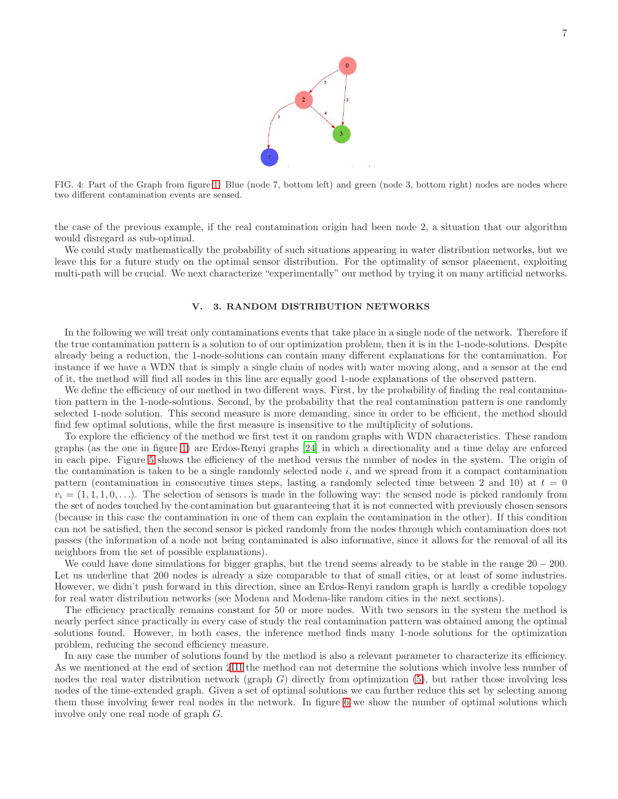

FIG. 4: Part of the Graph from figure [1.](#page-1-1) Blue (node 7, bottom left) and green (node 3, bottom right) nodes are nodes where two different contamination events are sensed.

the case of the previous example, if the real contamination origin had been node 2, a situation that our algorithm would disregard as sub-optimal.

We could study mathematically the probability of such situations appearing in water distribution networks, but we leave this for a future study on the optimal sensor distribution. For the optimality of sensor placement, exploiting multi-path will be crucial. We next characterize "experimentally" our method by trying it on many artificial networks.

## <span id="page-6-0"></span>V. 3. RANDOM DISTRIBUTION NETWORKS

In the following we will treat only contaminations events that take place in a single node of the network. Therefore if the true contamination pattern is a solution to of our optimization problem, then it is in the 1-node-solutions. Despite already being a reduction, the 1-node-solutions can contain many different explanations for the contamination. For instance if we have a WDN that is simply a single chain of nodes with water moving along, and a sensor at the end of it, the method will find all nodes in this line are equally good 1-node explanations of the observed pattern.

We define the efficiency of our method in two different ways. First, by the probability of finding the real contamination pattern in the 1-node-solutions. Second, by the probability that the real contamination pattern is one randomly selected 1-node solution. This second measure is more demanding, since in order to be efficient, the method should find few optimal solutions, while the first measure is insensitive to the multiplicity of solutions.

To explore the efficiency of the method we first test it on random graphs with WDN characteristics. These random graphs (as the one in figure [1\)](#page-1-1) are Erdos-Renyi graphs [\[24\]](#page-10-14) in which a directionality and a time delay are enforced in each pipe. Figure [5](#page-7-0) shows the efficiency of the method versus the number of nodes in the system. The origin of the contamination is taken to be a single randomly selected node  $i$ , and we spread from it a compact contamination pattern (contamination in consecutive times steps, lasting a randomly selected time between 2 and 10) at  $t = 0$  $v_i = (1, 1, 1, 0, \ldots)$ . The selection of sensors is made in the following way: the sensed node is picked randomly from the set of nodes touched by the contamination but guaranteeing that it is not connected with previously chosen sensors (because in this case the contamination in one of them can explain the contamination in the other). If this condition can not be satisfied, then the second sensor is picked randomly from the nodes through which contamination does not passes (the information of a node not being contaminated is also informative, since it allows for the removal of all its neighbors from the set of possible explanations).

We could have done simulations for bigger graphs, but the trend seems already to be stable in the range  $20 - 200$ . Let us underline that 200 nodes is already a size comparable to that of small cities, or at least of some industries. However, we didn't push forward in this direction, since an Erdos-Renyi random graph is hardly a credible topology for real water distribution networks (see Modena and Modena-like random cities in the next sections).

The efficiency practically remains constant for 50 or more nodes. With two sensors in the system the method is nearly perfect since practically in every case of study the real contamination pattern was obtained among the optimal solutions found. However, in both cases, the inference method finds many 1-node solutions for the optimization problem, reducing the second efficiency measure.

In any case the number of solutions found by the method is also a relevant parameter to characterize its efficiency. As we mentioned at the end of section [2III](#page-2-0) the method can not determine the solutions which involve less number of nodes the real water distribution network (graph  $G$ ) directly from optimization [\(5\)](#page-4-2), but rather those involving less nodes of the time-extended graph. Given a set of optimal solutions we can further reduce this set by selecting among them those involving fewer real nodes in the network. In figure [6](#page-7-1) we show the number of optimal solutions which involve only one real node of graph G.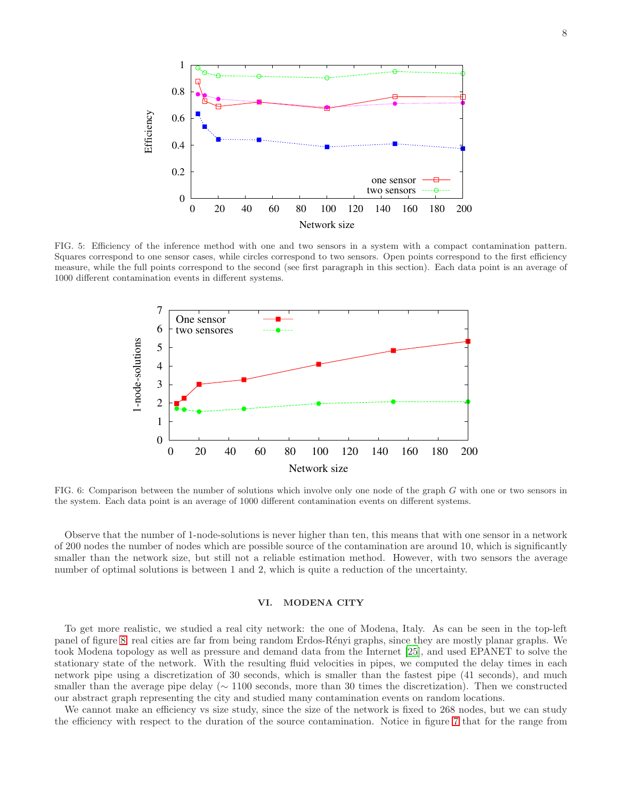

<span id="page-7-0"></span>FIG. 5: Efficiency of the inference method with one and two sensors in a system with a compact contamination pattern. Squares correspond to one sensor cases, while circles correspond to two sensors. Open points correspond to the first efficiency measure, while the full points correspond to the second (see first paragraph in this section). Each data point is an average of 1000 different contamination events in different systems.



<span id="page-7-1"></span>FIG. 6: Comparison between the number of solutions which involve only one node of the graph G with one or two sensors in the system. Each data point is an average of 1000 different contamination events on different systems.

Observe that the number of 1-node-solutions is never higher than ten, this means that with one sensor in a network of 200 nodes the number of nodes which are possible source of the contamination are around 10, which is significantly smaller than the network size, but still not a reliable estimation method. However, with two sensors the average number of optimal solutions is between 1 and 2, which is quite a reduction of the uncertainty.

## VI. MODENA CITY

To get more realistic, we studied a real city network: the one of Modena, Italy. As can be seen in the top-left panel of figure [8,](#page-8-0) real cities are far from being random Erdos-R´enyi graphs, since they are mostly planar graphs. We took Modena topology as well as pressure and demand data from the Internet [\[25](#page-10-15)], and used EPANET to solve the stationary state of the network. With the resulting fluid velocities in pipes, we computed the delay times in each network pipe using a discretization of 30 seconds, which is smaller than the fastest pipe (41 seconds), and much smaller than the average pipe delay ( $\sim 1100$  seconds, more than 30 times the discretization). Then we constructed our abstract graph representing the city and studied many contamination events on random locations.

We cannot make an efficiency vs size study, since the size of the network is fixed to 268 nodes, but we can study the efficiency with respect to the duration of the source contamination. Notice in figure [7](#page-8-1) that for the range from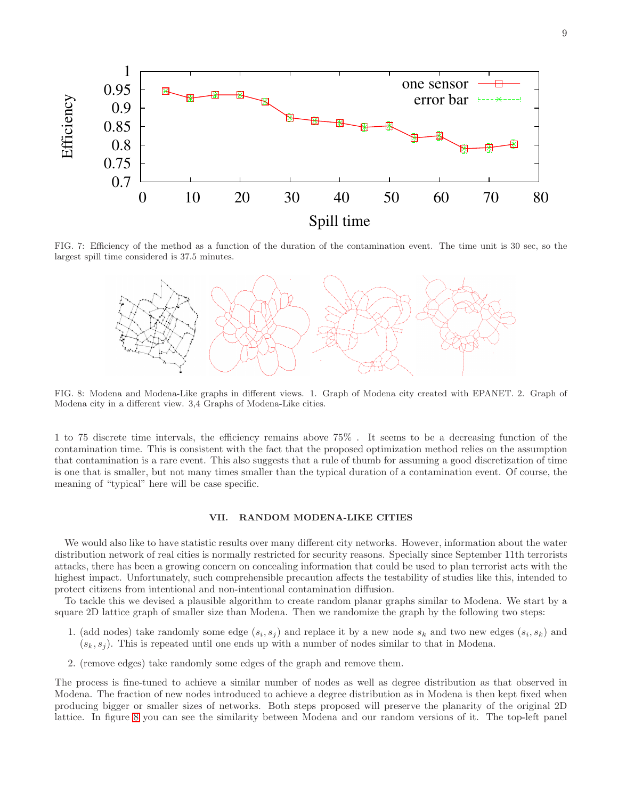

FIG. 7: Efficiency of the method as a function of the duration of the contamination event. The time unit is 30 sec, so the largest spill time considered is 37.5 minutes.

<span id="page-8-1"></span>

<span id="page-8-0"></span>FIG. 8: Modena and Modena-Like graphs in different views. 1. Graph of Modena city created with EPANET. 2. Graph of Modena city in a different view. 3,4 Graphs of Modena-Like cities.

1 to 75 discrete time intervals, the efficiency remains above 75% . It seems to be a decreasing function of the contamination time. This is consistent with the fact that the proposed optimization method relies on the assumption that contamination is a rare event. This also suggests that a rule of thumb for assuming a good discretization of time is one that is smaller, but not many times smaller than the typical duration of a contamination event. Of course, the meaning of "typical" here will be case specific.

## VII. RANDOM MODENA-LIKE CITIES

We would also like to have statistic results over many different city networks. However, information about the water distribution network of real cities is normally restricted for security reasons. Specially since September 11th terrorists attacks, there has been a growing concern on concealing information that could be used to plan terrorist acts with the highest impact. Unfortunately, such comprehensible precaution affects the testability of studies like this, intended to protect citizens from intentional and non-intentional contamination diffusion.

To tackle this we devised a plausible algorithm to create random planar graphs similar to Modena. We start by a square 2D lattice graph of smaller size than Modena. Then we randomize the graph by the following two steps:

- 1. (add nodes) take randomly some edge  $(s_i, s_j)$  and replace it by a new node  $s_k$  and two new edges  $(s_i, s_k)$  and  $(s_k, s_j)$ . This is repeated until one ends up with a number of nodes similar to that in Modena.
- 2. (remove edges) take randomly some edges of the graph and remove them.

The process is fine-tuned to achieve a similar number of nodes as well as degree distribution as that observed in Modena. The fraction of new nodes introduced to achieve a degree distribution as in Modena is then kept fixed when producing bigger or smaller sizes of networks. Both steps proposed will preserve the planarity of the original 2D lattice. In figure [8](#page-8-0) you can see the similarity between Modena and our random versions of it. The top-left panel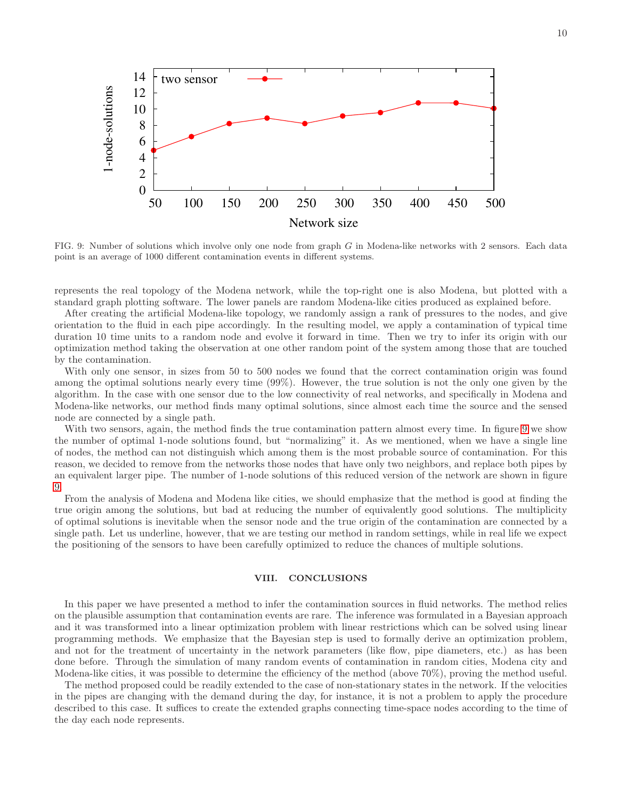

<span id="page-9-0"></span>FIG. 9: Number of solutions which involve only one node from graph G in Modena-like networks with 2 sensors. Each data point is an average of 1000 different contamination events in different systems.

represents the real topology of the Modena network, while the top-right one is also Modena, but plotted with a standard graph plotting software. The lower panels are random Modena-like cities produced as explained before.

After creating the artificial Modena-like topology, we randomly assign a rank of pressures to the nodes, and give orientation to the fluid in each pipe accordingly. In the resulting model, we apply a contamination of typical time duration 10 time units to a random node and evolve it forward in time. Then we try to infer its origin with our optimization method taking the observation at one other random point of the system among those that are touched by the contamination.

With only one sensor, in sizes from 50 to 500 nodes we found that the correct contamination origin was found among the optimal solutions nearly every time (99%). However, the true solution is not the only one given by the algorithm. In the case with one sensor due to the low connectivity of real networks, and specifically in Modena and Modena-like networks, our method finds many optimal solutions, since almost each time the source and the sensed node are connected by a single path.

With two sensors, again, the method finds the true contamination pattern almost every time. In figure [9](#page-9-0) we show the number of optimal 1-node solutions found, but "normalizing" it. As we mentioned, when we have a single line of nodes, the method can not distinguish which among them is the most probable source of contamination. For this reason, we decided to remove from the networks those nodes that have only two neighbors, and replace both pipes by an equivalent larger pipe. The number of 1-node solutions of this reduced version of the network are shown in figure [9.](#page-9-0)

From the analysis of Modena and Modena like cities, we should emphasize that the method is good at finding the true origin among the solutions, but bad at reducing the number of equivalently good solutions. The multiplicity of optimal solutions is inevitable when the sensor node and the true origin of the contamination are connected by a single path. Let us underline, however, that we are testing our method in random settings, while in real life we expect the positioning of the sensors to have been carefully optimized to reduce the chances of multiple solutions.

## VIII. CONCLUSIONS

In this paper we have presented a method to infer the contamination sources in fluid networks. The method relies on the plausible assumption that contamination events are rare. The inference was formulated in a Bayesian approach and it was transformed into a linear optimization problem with linear restrictions which can be solved using linear programming methods. We emphasize that the Bayesian step is used to formally derive an optimization problem, and not for the treatment of uncertainty in the network parameters (like flow, pipe diameters, etc.) as has been done before. Through the simulation of many random events of contamination in random cities, Modena city and Modena-like cities, it was possible to determine the efficiency of the method (above 70%), proving the method useful.

The method proposed could be readily extended to the case of non-stationary states in the network. If the velocities in the pipes are changing with the demand during the day, for instance, it is not a problem to apply the procedure described to this case. It suffices to create the extended graphs connecting time-space nodes according to the time of the day each node represents.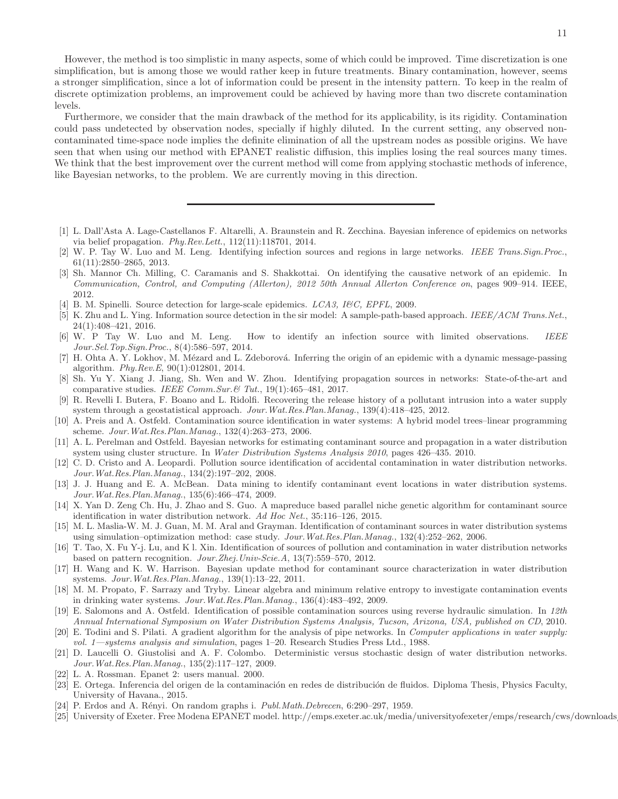However, the method is too simplistic in many aspects, some of which could be improved. Time discretization is one simplification, but is among those we would rather keep in future treatments. Binary contamination, however, seems a stronger simplification, since a lot of information could be present in the intensity pattern. To keep in the realm of discrete optimization problems, an improvement could be achieved by having more than two discrete contamination levels.

Furthermore, we consider that the main drawback of the method for its applicability, is its rigidity. Contamination could pass undetected by observation nodes, specially if highly diluted. In the current setting, any observed noncontaminated time-space node implies the definite elimination of all the upstream nodes as possible origins. We have seen that when using our method with EPANET realistic diffusion, this implies losing the real sources many times. We think that the best improvement over the current method will come from applying stochastic methods of inference, like Bayesian networks, to the problem. We are currently moving in this direction.

- <span id="page-10-0"></span>[1] L. Dall'Asta A. Lage-Castellanos F. Altarelli, A. Braunstein and R. Zecchina. Bayesian inference of epidemics on networks via belief propagation. *Phy.Rev.Lett.*, 112(11):118701, 2014.
- [2] W. P. Tay W. Luo and M. Leng. Identifying infection sources and regions in large networks. *IEEE Trans.Sign.Proc.*, 61(11):2850–2865, 2013.
- [3] Sh. Mannor Ch. Milling, C. Caramanis and S. Shakkottai. On identifying the causative network of an epidemic. In *Communication, Control, and Computing (Allerton), 2012 50th Annual Allerton Conference on*, pages 909–914. IEEE, 2012.
- [4] B. M. Spinelli. Source detection for large-scale epidemics. *LCA3, I&C, EPFL*, 2009.
- [5] K. Zhu and L. Ying. Information source detection in the sir model: A sample-path-based approach. *IEEE/ACM Trans.Net.*, 24(1):408–421, 2016.
- [6] W. P Tay W. Luo and M. Leng. How to identify an infection source with limited observations. *IEEE Jour.Sel.Top.Sign.Proc.*, 8(4):586–597, 2014.
- <span id="page-10-1"></span>[7] H. Ohta A. Y. Lokhov, M. Mézard and L. Zdeborová. Inferring the origin of an epidemic with a dynamic message-passing algorithm. *Phy.Rev.E*, 90(1):012801, 2014.
- <span id="page-10-2"></span>[8] Sh. Yu Y. Xiang J. Jiang, Sh. Wen and W. Zhou. Identifying propagation sources in networks: State-of-the-art and comparative studies. *IEEE Comm.Sur.& Tut.*, 19(1):465–481, 2017.
- <span id="page-10-3"></span>[9] R. Revelli I. Butera, F. Boano and L. Ridolfi. Recovering the release history of a pollutant intrusion into a water supply system through a geostatistical approach. *Jour.Wat.Res.Plan.Manag.*, 139(4):418–425, 2012.
- <span id="page-10-4"></span>[10] A. Preis and A. Ostfeld. Contamination source identification in water systems: A hybrid model trees–linear programming scheme. *Jour.Wat.Res.Plan.Manag.*, 132(4):263–273, 2006.
- [11] A. L. Perelman and Ostfeld. Bayesian networks for estimating contaminant source and propagation in a water distribution system using cluster structure. In *Water Distribution Systems Analysis 2010*, pages 426–435. 2010.
- [12] C. D. Cristo and A. Leopardi. Pollution source identification of accidental contamination in water distribution networks. *Jour.Wat.Res.Plan.Manag.*, 134(2):197–202, 2008.
- <span id="page-10-6"></span>[13] J. J. Huang and E. A. McBean. Data mining to identify contaminant event locations in water distribution systems. *Jour.Wat.Res.Plan.Manag.*, 135(6):466–474, 2009.
- [14] X. Yan D. Zeng Ch. Hu, J. Zhao and S. Guo. A mapreduce based parallel niche genetic algorithm for contaminant source identification in water distribution network. *Ad Hoc Net.*, 35:116–126, 2015.
- [15] M. L. Maslia-W. M. J. Guan, M. M. Aral and Grayman. Identification of contaminant sources in water distribution systems using simulation–optimization method: case study. *Jour.Wat.Res.Plan.Manag.*, 132(4):252–262, 2006.
- <span id="page-10-5"></span>[16] T. Tao, X. Fu Y-j. Lu, and K l. Xin. Identification of sources of pollution and contamination in water distribution networks based on pattern recognition. *Jour.Zhej.Univ-Scie.A*, 13(7):559–570, 2012.
- <span id="page-10-7"></span>[17] H. Wang and K. W. Harrison. Bayesian update method for contaminant source characterization in water distribution systems. *Jour.Wat.Res.Plan.Manag.*, 139(1):13–22, 2011.
- <span id="page-10-8"></span>[18] M. M. Propato, F. Sarrazy and Tryby. Linear algebra and minimum relative entropy to investigate contamination events in drinking water systems. *Jour.Wat.Res.Plan.Manag.*, 136(4):483–492, 2009.
- <span id="page-10-9"></span>[19] E. Salomons and A. Ostfeld. Identification of possible contamination sources using reverse hydraulic simulation. In *12th Annual International Symposium on Water Distribution Systems Analysis, Tucson, Arizona, USA, published on CD*, 2010.
- <span id="page-10-10"></span>[20] E. Todini and S. Pilati. A gradient algorithm for the analysis of pipe networks. In *Computer applications in water supply: vol. 1—systems analysis and simulation*, pages 1–20. Research Studies Press Ltd., 1988.
- <span id="page-10-11"></span>[21] D. Laucelli O. Giustolisi and A. F. Colombo. Deterministic versus stochastic design of water distribution networks. *Jour.Wat.Res.Plan.Manag.*, 135(2):117–127, 2009.
- <span id="page-10-12"></span>[22] L. A. Rossman. Epanet 2: users manual. 2000.
- <span id="page-10-13"></span>[23] E. Ortega. Inferencia del origen de la contaminación en redes de distribución de fluidos. Diploma Thesis, Physics Faculty, University of Havana., 2015.
- <span id="page-10-14"></span>[24] P. Erdos and A. R´enyi. On random graphs i. *Publ.Math.Debrecen*, 6:290–297, 1959.
- <span id="page-10-15"></span>[25] University of Exeter. Free Modena EPANET model. http://emps.exeter.ac.uk/media/universityofexeter/emps/research/cws/downloads